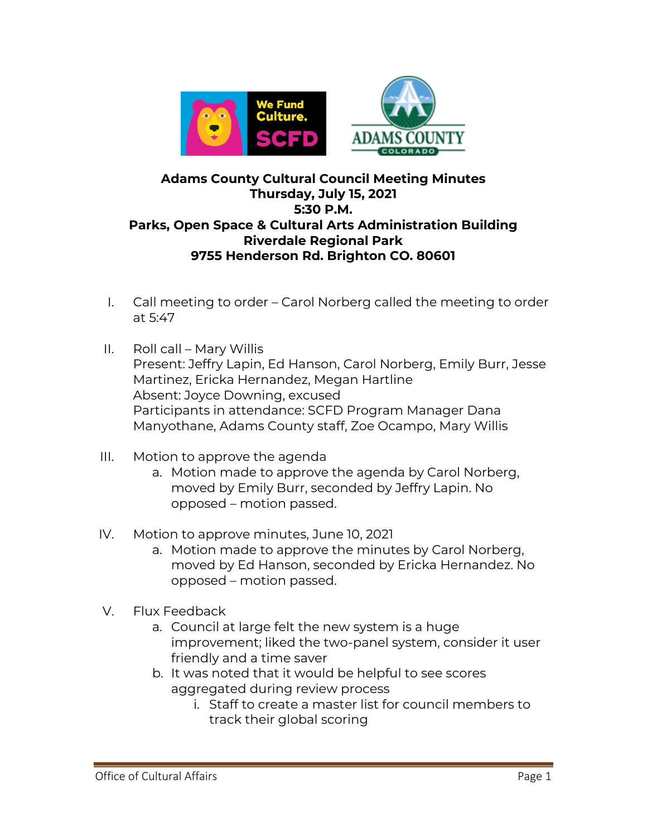

## **Adams County Cultural Council Meeting Minutes Thursday, July 15, 2021 5:30 P.M. Parks, Open Space & Cultural Arts Administration Building Riverdale Regional Park 9755 Henderson Rd. Brighton CO. 80601**

- I. Call meeting to order Carol Norberg called the meeting to order at 5:47
- II. Roll call Mary Willis Present: Jeffry Lapin, Ed Hanson, Carol Norberg, Emily Burr, Jesse Martinez, Ericka Hernandez, Megan Hartline Absent: Joyce Downing, excused Participants in attendance: SCFD Program Manager Dana Manyothane, Adams County staff, Zoe Ocampo, Mary Willis
- III. Motion to approve the agenda
	- a. Motion made to approve the agenda by Carol Norberg, moved by Emily Burr, seconded by Jeffry Lapin. No opposed – motion passed.
- IV. Motion to approve minutes, June 10, 2021
	- a. Motion made to approve the minutes by Carol Norberg, moved by Ed Hanson, seconded by Ericka Hernandez. No opposed – motion passed.
- V. Flux Feedback
	- a. Council at large felt the new system is a huge improvement; liked the two-panel system, consider it user friendly and a time saver
	- b. It was noted that it would be helpful to see scores aggregated during review process
		- i. Staff to create a master list for council members to track their global scoring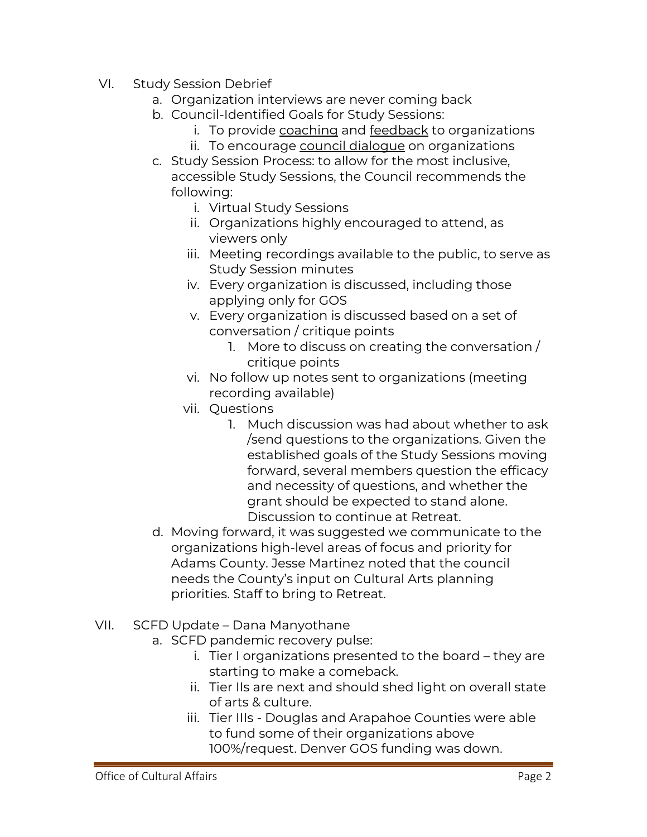- VI. Study Session Debrief
	- a. Organization interviews are never coming back
	- b. Council-Identified Goals for Study Sessions:
		- i. To provide coaching and feedback to organizations
		- ii. To encourage council dialogue on organizations
	- c. Study Session Process: to allow for the most inclusive, accessible Study Sessions, the Council recommends the following:
		- i. Virtual Study Sessions
		- ii. Organizations highly encouraged to attend, as viewers only
		- iii. Meeting recordings available to the public, to serve as Study Session minutes
		- iv. Every organization is discussed, including those applying only for GOS
		- v. Every organization is discussed based on a set of conversation / critique points
			- 1. More to discuss on creating the conversation / critique points
		- vi. No follow up notes sent to organizations (meeting recording available)
		- vii. Questions
			- 1. Much discussion was had about whether to ask /send questions to the organizations. Given the established goals of the Study Sessions moving forward, several members question the efficacy and necessity of questions, and whether the grant should be expected to stand alone. Discussion to continue at Retreat.
	- d. Moving forward, it was suggested we communicate to the organizations high-level areas of focus and priority for Adams County. Jesse Martinez noted that the council needs the County's input on Cultural Arts planning priorities. Staff to bring to Retreat.
- VII. SCFD Update Dana Manyothane
	- a. SCFD pandemic recovery pulse:
		- i. Tier I organizations presented to the board they are starting to make a comeback.
		- ii. Tier IIs are next and should shed light on overall state of arts & culture.
		- iii. Tier IIIs Douglas and Arapahoe Counties were able to fund some of their organizations above 100%/request. Denver GOS funding was down.